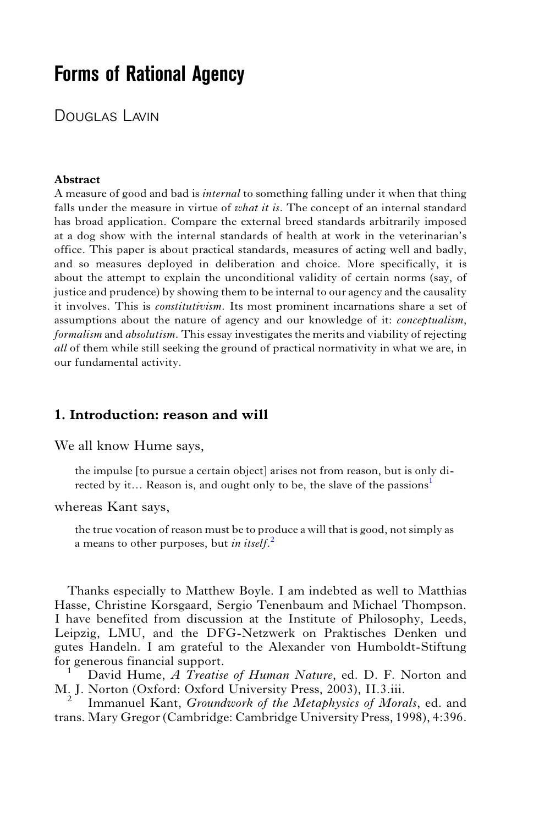# Forms of Rational Agency

Douglas Lavin

#### Abstract

A measure of good and bad is internal to something falling under it when that thing falls under the measure in virtue of *what it is*. The concept of an internal standard has broad application. Compare the external breed standards arbitrarily imposed at a dog show with the internal standards of health at work in the veterinarian's office. This paper is about practical standards, measures of acting well and badly, and so measures deployed in deliberation and choice. More specifically, it is about the attempt to explain the unconditional validity of certain norms (say, of justice and prudence) by showing them to be internal to our agency and the causality it involves. This is constitutivism. Its most prominent incarnations share a set of assumptions about the nature of agency and our knowledge of it: conceptualism, formalism and absolutism. This essay investigates the merits and viability of rejecting all of them while still seeking the ground of practical normativity in what we are, in our fundamental activity.

#### 1. Introduction: reason and will

We all know Hume says,

the impulse [to pursue a certain object] arises not from reason, but is only directed by it... Reason is, and ought only to be, the slave of the passions<sup>1</sup>

whereas Kant says,

the true vocation of reason must be to produce a will that is good, not simply as a means to other purposes, but in itself.<sup>2</sup>

Thanks especially to Matthew Boyle. I am indebted as well to Matthias Hasse, Christine Korsgaard, Sergio Tenenbaum and Michael Thompson. I have benefited from discussion at the Institute of Philosophy, Leeds, Leipzig, LMU, and the DFG-Netzwerk on Praktisches Denken und gutes Handeln. I am grateful to the Alexander von Humboldt-Stiftung for generous financial support.<br><sup>1</sup> David Hume, *A Treatise of Human Nature*, ed. D. F. Norton and

M. J. Norton (Oxford: Oxford University Press, 2003), II.3.iii.<br><sup>2</sup> Immanuel Kant, *Groundwork of the Metaphysics of Morals*, ed. and

trans. Mary Gregor (Cambridge: Cambridge University Press, 1998), 4:396.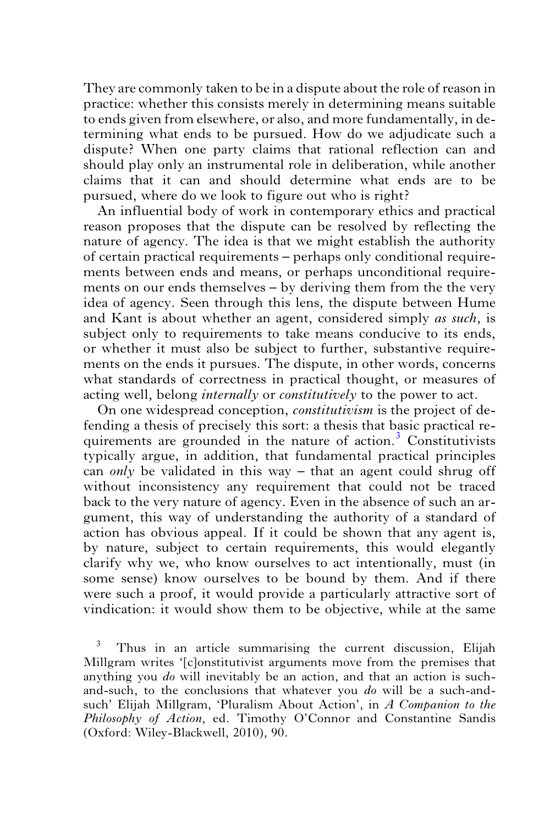They are commonly taken to be in a dispute about the role of reason in practice: whether this consists merely in determining means suitable to ends given from elsewhere, or also, and more fundamentally, in determining what ends to be pursued. How do we adjudicate such a dispute? When one party claims that rational reflection can and should play only an instrumental role in deliberation, while another claims that it can and should determine what ends are to be pursued, where do we look to figure out who is right?

An influential body of work in contemporary ethics and practical reason proposes that the dispute can be resolved by reflecting the nature of agency. The idea is that we might establish the authority of certain practical requirements – perhaps only conditional requirements between ends and means, or perhaps unconditional requirements on our ends themselves – by deriving them from the the very idea of agency. Seen through this lens, the dispute between Hume and Kant is about whether an agent, considered simply as such, is subject only to requirements to take means conducive to its ends, or whether it must also be subject to further, substantive requirements on the ends it pursues. The dispute, in other words, concerns what standards of correctness in practical thought, or measures of acting well, belong *internally* or *constitutively* to the power to act.

On one widespread conception, constitutivism is the project of defending a thesis of precisely this sort: a thesis that basic practical requirements are grounded in the nature of action.<sup>3</sup> Constitutivists typically argue, in addition, that fundamental practical principles can *only* be validated in this way – that an agent could shrug off without inconsistency any requirement that could not be traced back to the very nature of agency. Even in the absence of such an argument, this way of understanding the authority of a standard of action has obvious appeal. If it could be shown that any agent is, by nature, subject to certain requirements, this would elegantly clarify why we, who know ourselves to act intentionally, must (in some sense) know ourselves to be bound by them. And if there were such a proof, it would provide a particularly attractive sort of vindication: it would show them to be objective, while at the same

<sup>3</sup> Thus in an article summarising the current discussion, Elijah Millgram writes '[c]onstitutivist arguments move from the premises that anything you do will inevitably be an action, and that an action is suchand-such, to the conclusions that whatever you do will be a such-andsuch' Elijah Millgram, 'Pluralism About Action', in A Companion to the Philosophy of Action, ed. Timothy O'Connor and Constantine Sandis (Oxford: Wiley-Blackwell, 2010), 90.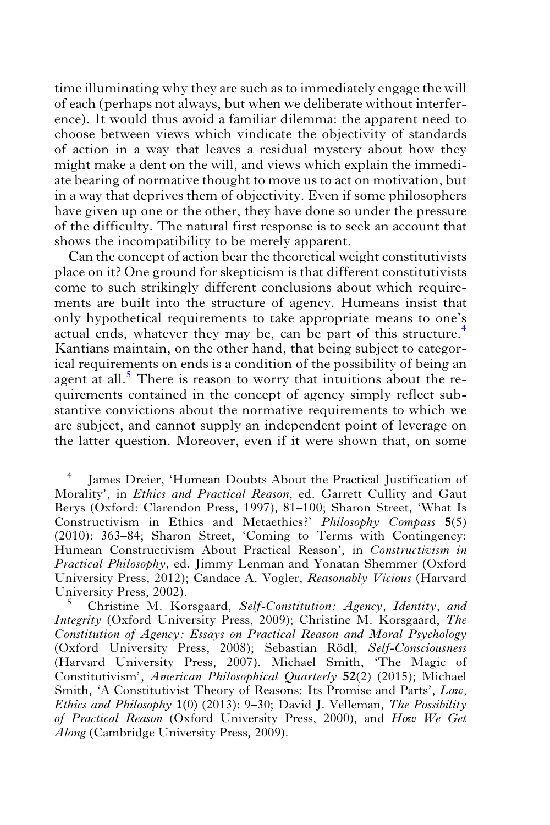time illuminating why they are such as to immediately engage the will of each (perhaps not always, but when we deliberate without interference). It would thus avoid a familiar dilemma: the apparent need to choose between views which vindicate the objectivity of standards of action in a way that leaves a residual mystery about how they might make a dent on the will, and views which explain the immediate bearing of normative thought to move us to act on motivation, but in a way that deprives them of objectivity. Even if some philosophers have given up one or the other, they have done so under the pressure of the difficulty. The natural first response is to seek an account that shows the incompatibility to be merely apparent.

Can the concept of action bear the theoretical weight constitutivists place on it? One ground for skepticism is that different constitutivists come to such strikingly different conclusions about which requirements are built into the structure of agency. Humeans insist that only hypothetical requirements to take appropriate means to one's actual ends, whatever they may be, can be part of this structure.<sup>4</sup> Kantians maintain, on the other hand, that being subject to categorical requirements on ends is a condition of the possibility of being an agent at all. $<sup>5</sup>$  There is reason to worry that intuitions about the re-</sup> quirements contained in the concept of agency simply reflect substantive convictions about the normative requirements to which we are subject, and cannot supply an independent point of leverage on the latter question. Moreover, even if it were shown that, on some

<sup>4</sup> James Dreier, 'Humean Doubts About the Practical Justification of Morality', in Ethics and Practical Reason, ed. Garrett Cullity and Gaut Berys (Oxford: Clarendon Press, 1997), 81–100; Sharon Street, 'What Is Constructivism in Ethics and Metaethics?' Philosophy Compass 5(5) (2010): 363–84; Sharon Street, 'Coming to Terms with Contingency: Humean Constructivism About Practical Reason', in Constructivism in Practical Philosophy, ed. Jimmy Lenman and Yonatan Shemmer (Oxford University Press, 2012); Candace A. Vogler, Reasonably Vicious (Harvard University Press, 2002).

<sup>5</sup> Christine M. Korsgaard, Self-Constitution: Agency, Identity, and Integrity (Oxford University Press, 2009); Christine M. Korsgaard, The Constitution of Agency: Essays on Practical Reason and Moral Psychology (Oxford University Press, 2008); Sebastian Rödl, Self-Consciousness (Harvard University Press, 2007). Michael Smith, 'The Magic of Constitutivism', American Philosophical Quarterly 52(2) (2015); Michael Smith, 'A Constitutivist Theory of Reasons: Its Promise and Parts', Law, *Ethics and Philosophy*  $1(0)$  (2013): 9–30; David J. Velleman, *The Possibility* of Practical Reason (Oxford University Press, 2000), and How We Get Along (Cambridge University Press, 2009).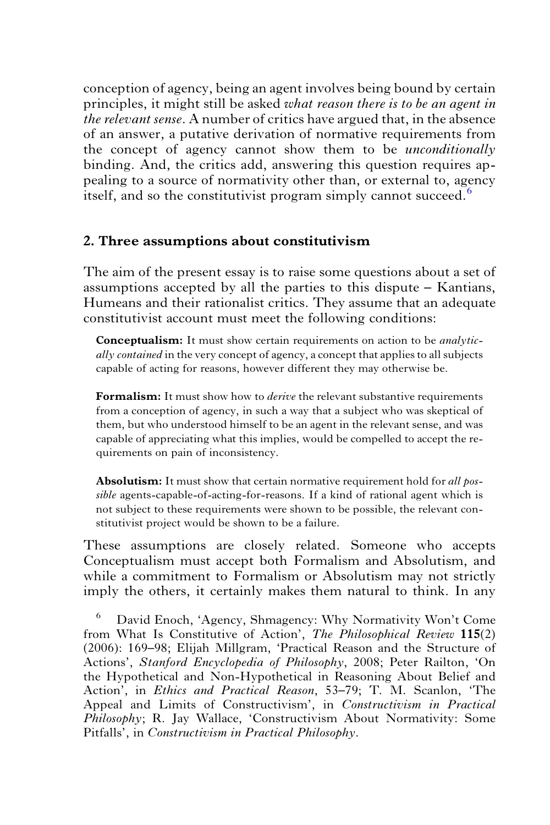conception of agency, being an agent involves being bound by certain principles, it might still be asked what reason there is to be an agent in the relevant sense. A number of critics have argued that, in the absence of an answer, a putative derivation of normative requirements from the concept of agency cannot show them to be unconditionally binding. And, the critics add, answering this question requires appealing to a source of normativity other than, or external to, agency itself, and so the constitutivist program simply cannot succeed.<sup>6</sup>

## 2. Three assumptions about constitutivism

The aim of the present essay is to raise some questions about a set of assumptions accepted by all the parties to this dispute – Kantians, Humeans and their rationalist critics. They assume that an adequate constitutivist account must meet the following conditions:

**Conceptualism:** It must show certain requirements on action to be *analytic*ally contained in the very concept of agency, a concept that applies to all subjects capable of acting for reasons, however different they may otherwise be.

Formalism: It must show how to *derive* the relevant substantive requirements from a conception of agency, in such a way that a subject who was skeptical of them, but who understood himself to be an agent in the relevant sense, and was capable of appreciating what this implies, would be compelled to accept the requirements on pain of inconsistency.

Absolutism: It must show that certain normative requirement hold for all possible agents-capable-of-acting-for-reasons. If a kind of rational agent which is not subject to these requirements were shown to be possible, the relevant constitutivist project would be shown to be a failure.

These assumptions are closely related. Someone who accepts Conceptualism must accept both Formalism and Absolutism, and while a commitment to Formalism or Absolutism may not strictly imply the others, it certainly makes them natural to think. In any

<sup>6</sup> David Enoch, 'Agency, Shmagency: Why Normativity Won't Come from What Is Constitutive of Action', The Philosophical Review 115(2) (2006): 169–98; Elijah Millgram, 'Practical Reason and the Structure of Actions', Stanford Encyclopedia of Philosophy, 2008; Peter Railton, 'On the Hypothetical and Non-Hypothetical in Reasoning About Belief and Action', in Ethics and Practical Reason, 53–79; T. M. Scanlon, 'The Appeal and Limits of Constructivism', in Constructivism in Practical Philosophy; R. Jay Wallace, 'Constructivism About Normativity: Some Pitfalls', in Constructivism in Practical Philosophy.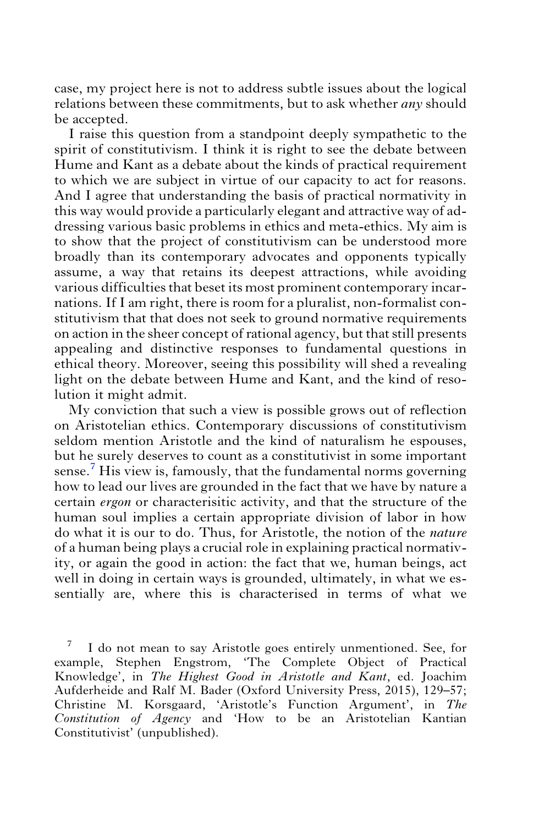case, my project here is not to address subtle issues about the logical relations between these commitments, but to ask whether *any* should be accepted.

I raise this question from a standpoint deeply sympathetic to the spirit of constitutivism. I think it is right to see the debate between Hume and Kant as a debate about the kinds of practical requirement to which we are subject in virtue of our capacity to act for reasons. And I agree that understanding the basis of practical normativity in this way would provide a particularly elegant and attractive way of addressing various basic problems in ethics and meta-ethics. My aim is to show that the project of constitutivism can be understood more broadly than its contemporary advocates and opponents typically assume, a way that retains its deepest attractions, while avoiding various difficulties that beset its most prominent contemporary incarnations. If I am right, there is room for a pluralist, non-formalist constitutivism that that does not seek to ground normative requirements on action in the sheer concept of rational agency, but that still presents appealing and distinctive responses to fundamental questions in ethical theory. Moreover, seeing this possibility will shed a revealing light on the debate between Hume and Kant, and the kind of resolution it might admit.

My conviction that such a view is possible grows out of reflection on Aristotelian ethics. Contemporary discussions of constitutivism seldom mention Aristotle and the kind of naturalism he espouses, but he surely deserves to count as a constitutivist in some important sense.<sup>7</sup> His view is, famously, that the fundamental norms governing how to lead our lives are grounded in the fact that we have by nature a certain ergon or characterisitic activity, and that the structure of the human soul implies a certain appropriate division of labor in how do what it is our to do. Thus, for Aristotle, the notion of the nature of a human being plays a crucial role in explaining practical normativity, or again the good in action: the fact that we, human beings, act well in doing in certain ways is grounded, ultimately, in what we essentially are, where this is characterised in terms of what we

 $7\quad$  I do not mean to say Aristotle goes entirely unmentioned. See, for example, Stephen Engstrom, 'The Complete Object of Practical Knowledge', in The Highest Good in Aristotle and Kant, ed. Joachim Aufderheide and Ralf M. Bader (Oxford University Press, 2015), 129–57; Christine M. Korsgaard, 'Aristotle's Function Argument', in The Constitution of Agency and 'How to be an Aristotelian Kantian Constitutivist' (unpublished).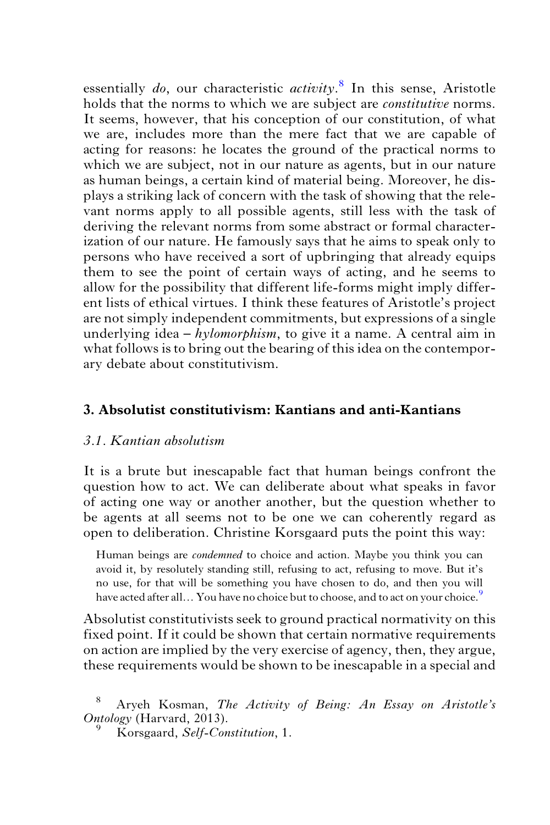essentially do, our characteristic activity.<sup>8</sup> In this sense, Aristotle holds that the norms to which we are subject are *constitutive* norms. It seems, however, that his conception of our constitution, of what we are, includes more than the mere fact that we are capable of acting for reasons: he locates the ground of the practical norms to which we are subject, not in our nature as agents, but in our nature as human beings, a certain kind of material being. Moreover, he displays a striking lack of concern with the task of showing that the relevant norms apply to all possible agents, still less with the task of deriving the relevant norms from some abstract or formal characterization of our nature. He famously says that he aims to speak only to persons who have received a sort of upbringing that already equips them to see the point of certain ways of acting, and he seems to allow for the possibility that different life-forms might imply different lists of ethical virtues. I think these features of Aristotle's project are not simply independent commitments, but expressions of a single underlying idea –  $h$ ylomorphism, to give it a name. A central aim in what follows is to bring out the bearing of this idea on the contemporary debate about constitutivism.

# 3. Absolutist constitutivism: Kantians and anti-Kantians

#### 3.1. Kantian absolutism

It is a brute but inescapable fact that human beings confront the question how to act. We can deliberate about what speaks in favor of acting one way or another another, but the question whether to be agents at all seems not to be one we can coherently regard as open to deliberation. Christine Korsgaard puts the point this way:

Human beings are condemned to choice and action. Maybe you think you can avoid it, by resolutely standing still, refusing to act, refusing to move. But it's no use, for that will be something you have chosen to do, and then you will have acted after all... You have no choice but to choose, and to act on your choice.<sup>9</sup>

Absolutist constitutivists seek to ground practical normativity on this fixed point. If it could be shown that certain normative requirements on action are implied by the very exercise of agency, then, they argue, these requirements would be shown to be inescapable in a special and

<sup>8</sup> Aryeh Kosman, The Activity of Being: An Essay on Aristotle's Ontology (Harvard, 2013).

Korsgaard, Self-Constitution, 1.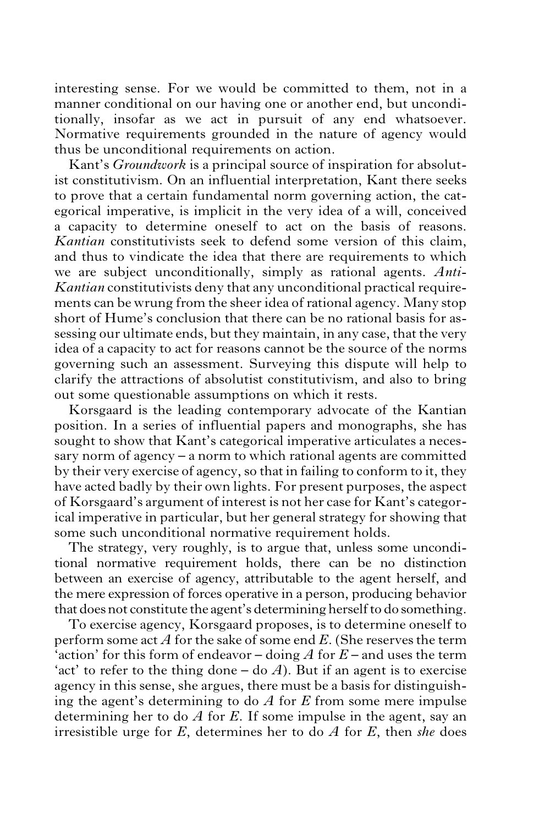interesting sense. For we would be committed to them, not in a manner conditional on our having one or another end, but unconditionally, insofar as we act in pursuit of any end whatsoever. Normative requirements grounded in the nature of agency would thus be unconditional requirements on action.

Kant's Groundwork is a principal source of inspiration for absolutist constitutivism. On an influential interpretation, Kant there seeks to prove that a certain fundamental norm governing action, the categorical imperative, is implicit in the very idea of a will, conceived a capacity to determine oneself to act on the basis of reasons. Kantian constitutivists seek to defend some version of this claim, and thus to vindicate the idea that there are requirements to which we are subject unconditionally, simply as rational agents. Anti-Kantian constitutivists deny that any unconditional practical requirements can be wrung from the sheer idea of rational agency. Many stop short of Hume's conclusion that there can be no rational basis for assessing our ultimate ends, but they maintain, in any case, that the very idea of a capacity to act for reasons cannot be the source of the norms governing such an assessment. Surveying this dispute will help to clarify the attractions of absolutist constitutivism, and also to bring out some questionable assumptions on which it rests.

Korsgaard is the leading contemporary advocate of the Kantian position. In a series of influential papers and monographs, she has sought to show that Kant's categorical imperative articulates a necessary norm of agency – a norm to which rational agents are committed by their very exercise of agency, so that in failing to conform to it, they have acted badly by their own lights. For present purposes, the aspect of Korsgaard's argument of interest is not her case for Kant's categorical imperative in particular, but her general strategy for showing that some such unconditional normative requirement holds.

The strategy, very roughly, is to argue that, unless some unconditional normative requirement holds, there can be no distinction between an exercise of agency, attributable to the agent herself, and the mere expression of forces operative in a person, producing behavior that does not constitute the agent's determining herself to do something.

To exercise agency, Korsgaard proposes, is to determine oneself to perform some act A for the sake of some end E. (She reserves the term 'action' for this form of endeavor – doing  $A$  for  $E$  – and uses the term 'act' to refer to the thing done – do  $A$ ). But if an agent is to exercise agency in this sense, she argues, there must be a basis for distinguishing the agent's determining to do  $A$  for  $E$  from some mere impulse determining her to do  $A$  for  $E$ . If some impulse in the agent, say an irresistible urge for  $E$ , determines her to do  $A$  for  $E$ , then she does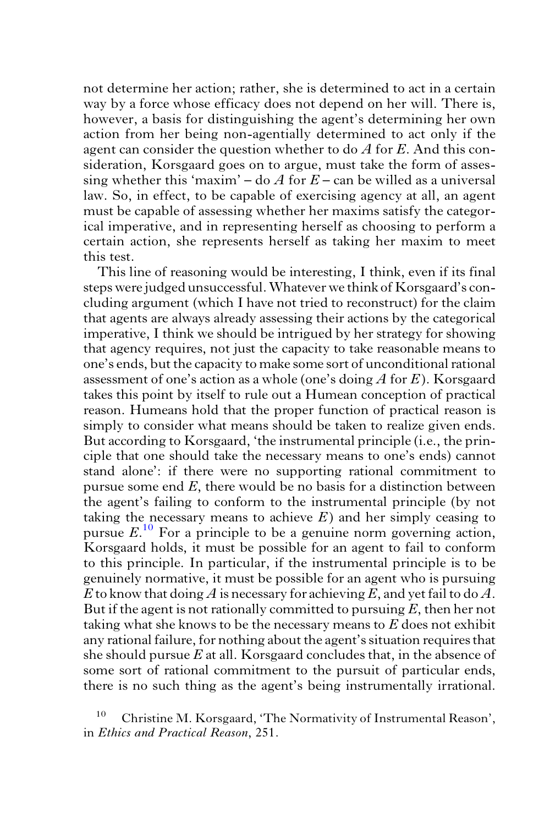not determine her action; rather, she is determined to act in a certain way by a force whose efficacy does not depend on her will. There is, however, a basis for distinguishing the agent's determining her own action from her being non-agentially determined to act only if the agent can consider the question whether to do  $A$  for  $E$ . And this consideration, Korsgaard goes on to argue, must take the form of assessing whether this 'maxim' – do A for  $E$  – can be willed as a universal law. So, in effect, to be capable of exercising agency at all, an agent must be capable of assessing whether her maxims satisfy the categorical imperative, and in representing herself as choosing to perform a certain action, she represents herself as taking her maxim to meet this test.

This line of reasoning would be interesting, I think, even if its final steps were judged unsuccessful.Whatever we think of Korsgaard's concluding argument (which I have not tried to reconstruct) for the claim that agents are always already assessing their actions by the categorical imperative, I think we should be intrigued by her strategy for showing that agency requires, not just the capacity to take reasonable means to one's ends, but the capacity to make some sort of unconditional rational assessment of one's action as a whole (one's doing  $A$  for  $E$ ). Korsgaard takes this point by itself to rule out a Humean conception of practical reason. Humeans hold that the proper function of practical reason is simply to consider what means should be taken to realize given ends. But according to Korsgaard, 'the instrumental principle (i.e., the principle that one should take the necessary means to one's ends) cannot stand alone': if there were no supporting rational commitment to pursue some end  $E$ , there would be no basis for a distinction between the agent's failing to conform to the instrumental principle (by not taking the necessary means to achieve  $E$ ) and her simply ceasing to pursue  $E^{10}$  For a principle to be a genuine norm governing action, Korsgaard holds, it must be possible for an agent to fail to conform to this principle. In particular, if the instrumental principle is to be genuinely normative, it must be possible for an agent who is pursuing E to know that doing A is necessary for achieving E, and yet fail to do A. But if the agent is not rationally committed to pursuing  $E$ , then her not taking what she knows to be the necessary means to E does not exhibit any rational failure, for nothing about the agent's situation requires that she should pursue  $E$  at all. Korsgaard concludes that, in the absence of some sort of rational commitment to the pursuit of particular ends, there is no such thing as the agent's being instrumentally irrational.

Christine M. Korsgaard, 'The Normativity of Instrumental Reason', in Ethics and Practical Reason, 251.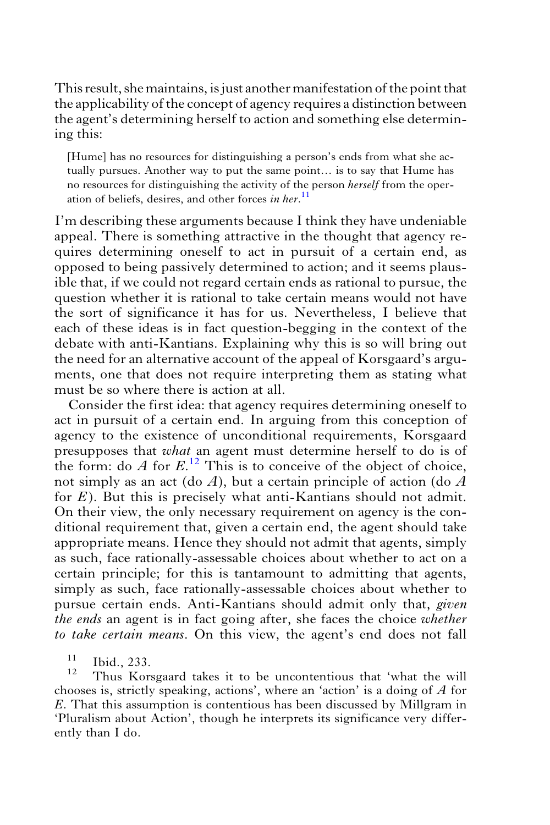This result, she maintains, is just another manifestation of the point that the applicability of the concept of agency requires a distinction between the agent's determining herself to action and something else determining this:

[Hume] has no resources for distinguishing a person's ends from what she actually pursues. Another way to put the same point… is to say that Hume has no resources for distinguishing the activity of the person herself from the operation of beliefs, desires, and other forces in her.<sup>11</sup>

I'm describing these arguments because I think they have undeniable appeal. There is something attractive in the thought that agency requires determining oneself to act in pursuit of a certain end, as opposed to being passively determined to action; and it seems plausible that, if we could not regard certain ends as rational to pursue, the question whether it is rational to take certain means would not have the sort of significance it has for us. Nevertheless, I believe that each of these ideas is in fact question-begging in the context of the debate with anti-Kantians. Explaining why this is so will bring out the need for an alternative account of the appeal of Korsgaard's arguments, one that does not require interpreting them as stating what must be so where there is action at all.

Consider the first idea: that agency requires determining oneself to act in pursuit of a certain end. In arguing from this conception of agency to the existence of unconditional requirements, Korsgaard presupposes that what an agent must determine herself to do is of the form: do A for  $E^{12}$  This is to conceive of the object of choice, not simply as an act (do  $A$ ), but a certain principle of action (do  $A$ for  $E$ ). But this is precisely what anti-Kantians should not admit. On their view, the only necessary requirement on agency is the conditional requirement that, given a certain end, the agent should take appropriate means. Hence they should not admit that agents, simply as such, face rationally-assessable choices about whether to act on a certain principle; for this is tantamount to admitting that agents, simply as such, face rationally-assessable choices about whether to pursue certain ends. Anti-Kantians should admit only that, given the ends an agent is in fact going after, she faces the choice whether to take certain means. On this view, the agent's end does not fall

<sup>11</sup> Ibid., 233.<br><sup>12</sup> Thus Korsgaard takes it to be uncontentious that 'what the will chooses is, strictly speaking, actions', where an 'action' is a doing of  $A$  for E. That this assumption is contentious has been discussed by Millgram in 'Pluralism about Action', though he interprets its significance very differently than I do.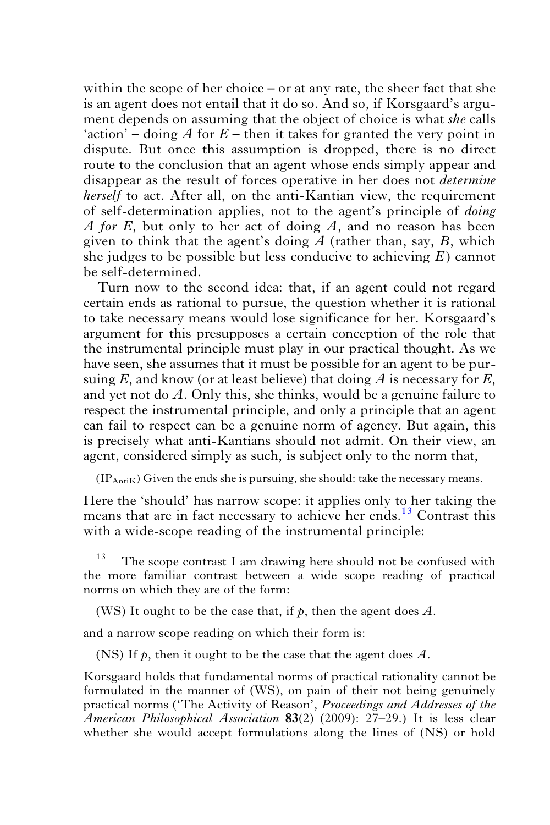within the scope of her choice – or at any rate, the sheer fact that she is an agent does not entail that it do so. And so, if Korsgaard's argument depends on assuming that the object of choice is what *she* calls 'action' – doing A for  $E$  – then it takes for granted the very point in dispute. But once this assumption is dropped, there is no direct route to the conclusion that an agent whose ends simply appear and disappear as the result of forces operative in her does not determine herself to act. After all, on the anti-Kantian view, the requirement of self-determination applies, not to the agent's principle of doing A for E, but only to her act of doing A, and no reason has been given to think that the agent's doing  $A$  (rather than, say,  $B$ , which she judges to be possible but less conducive to achieving  $E$ ) cannot be self-determined.

Turn now to the second idea: that, if an agent could not regard certain ends as rational to pursue, the question whether it is rational to take necessary means would lose significance for her. Korsgaard's argument for this presupposes a certain conception of the role that the instrumental principle must play in our practical thought. As we have seen, she assumes that it must be possible for an agent to be pursuing E, and know (or at least believe) that doing A is necessary for E, and yet not do  $\hat{A}$ . Only this, she thinks, would be a genuine failure to respect the instrumental principle, and only a principle that an agent can fail to respect can be a genuine norm of agency. But again, this is precisely what anti-Kantians should not admit. On their view, an agent, considered simply as such, is subject only to the norm that,

 $(IP<sub>AntiK</sub>)$  Given the ends she is pursuing, she should: take the necessary means.

Here the 'should' has narrow scope: it applies only to her taking the means that are in fact necessary to achieve her ends.<sup>13</sup> Contrast this with a wide-scope reading of the instrumental principle:

 $13$  The scope contrast I am drawing here should not be confused with the more familiar contrast between a wide scope reading of practical norms on which they are of the form:

(WS) It ought to be the case that, if  $p$ , then the agent does  $A$ .

and a narrow scope reading on which their form is:

(NS) If  $p$ , then it ought to be the case that the agent does  $A$ .

Korsgaard holds that fundamental norms of practical rationality cannot be formulated in the manner of (WS), on pain of their not being genuinely practical norms ('The Activity of Reason', Proceedings and Addresses of the American Philosophical Association 83(2) (2009): 27-29.) It is less clear whether she would accept formulations along the lines of (NS) or hold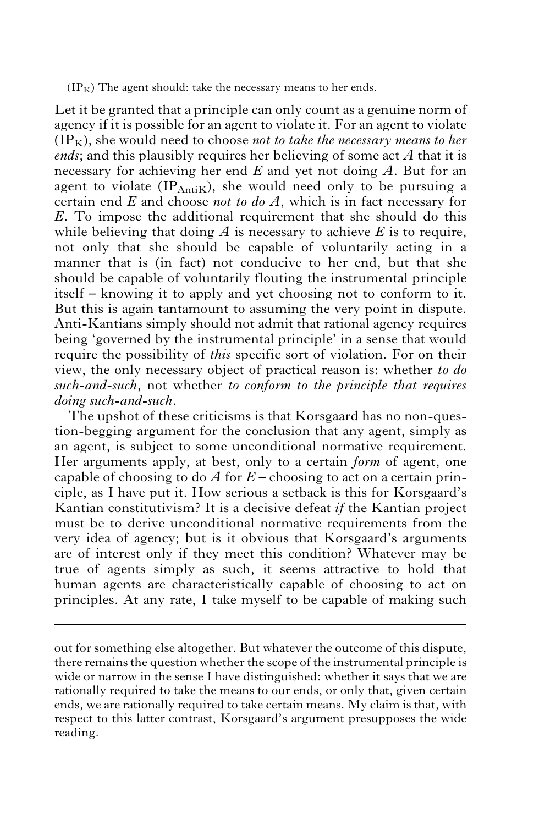$(\text{IP}_K)$  The agent should: take the necessary means to her ends.

Let it be granted that a principle can only count as a genuine norm of agency if it is possible for an agent to violate it. For an agent to violate  $(\text{IP}_K)$ , she would need to choose not to take the necessary means to her *ends*; and this plausibly requires her believing of some act  $A$  that it is necessary for achieving her end  $E$  and yet not doing  $A$ . But for an agent to violate  $(\text{IP}_{\text{AntiK}})$ , she would need only to be pursuing a certain end  $E$  and choose *not to do A*, which is in fact necessary for E. To impose the additional requirement that she should do this while believing that doing  $A$  is necessary to achieve  $E$  is to require, not only that she should be capable of voluntarily acting in a manner that is (in fact) not conducive to her end, but that she should be capable of voluntarily flouting the instrumental principle itself – knowing it to apply and yet choosing not to conform to it. But this is again tantamount to assuming the very point in dispute. Anti-Kantians simply should not admit that rational agency requires being 'governed by the instrumental principle' in a sense that would require the possibility of this specific sort of violation. For on their view, the only necessary object of practical reason is: whether to do such-and-such, not whether to conform to the principle that requires doing such-and-such.

The upshot of these criticisms is that Korsgaard has no non-question-begging argument for the conclusion that any agent, simply as an agent, is subject to some unconditional normative requirement. Her arguments apply, at best, only to a certain form of agent, one capable of choosing to do A for  $E$  – choosing to act on a certain principle, as I have put it. How serious a setback is this for Korsgaard's Kantian constitutivism? It is a decisive defeat if the Kantian project must be to derive unconditional normative requirements from the very idea of agency; but is it obvious that Korsgaard's arguments are of interest only if they meet this condition? Whatever may be true of agents simply as such, it seems attractive to hold that human agents are characteristically capable of choosing to act on principles. At any rate, I take myself to be capable of making such

out for something else altogether. But whatever the outcome of this dispute, there remains the question whether the scope of the instrumental principle is wide or narrow in the sense I have distinguished: whether it says that we are rationally required to take the means to our ends, or only that, given certain ends, we are rationally required to take certain means. My claim is that, with respect to this latter contrast, Korsgaard's argument presupposes the wide reading.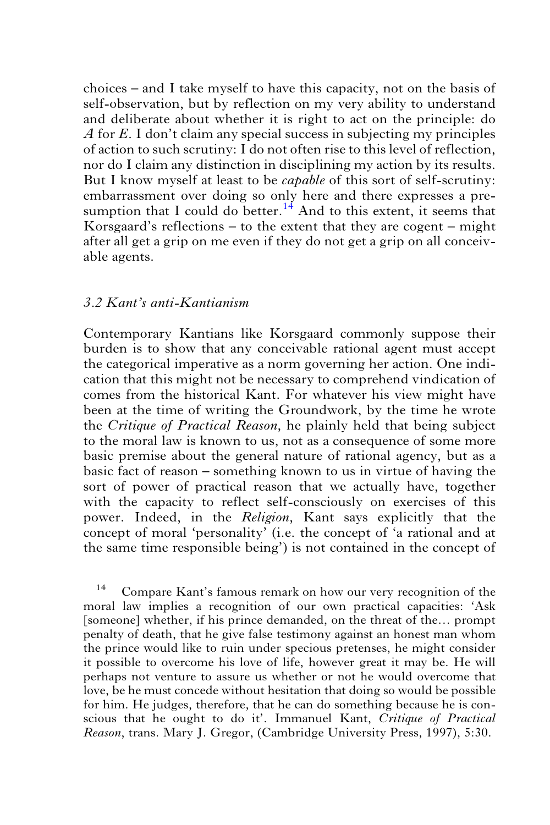choices – and I take myself to have this capacity, not on the basis of self-observation, but by reflection on my very ability to understand and deliberate about whether it is right to act on the principle: do A for E. I don't claim any special success in subjecting my principles of action to such scrutiny: I do not often rise to this level of reflection, nor do I claim any distinction in disciplining my action by its results. But I know myself at least to be capable of this sort of self-scrutiny: embarrassment over doing so only here and there expresses a presumption that I could do better.<sup>14</sup> And to this extent, it seems that Korsgaard's reflections  $-$  to the extent that they are cogent  $-$  might after all get a grip on me even if they do not get a grip on all conceivable agents.

## 3.2 Kant's anti-Kantianism

Contemporary Kantians like Korsgaard commonly suppose their burden is to show that any conceivable rational agent must accept the categorical imperative as a norm governing her action. One indication that this might not be necessary to comprehend vindication of comes from the historical Kant. For whatever his view might have been at the time of writing the Groundwork, by the time he wrote the Critique of Practical Reason, he plainly held that being subject to the moral law is known to us, not as a consequence of some more basic premise about the general nature of rational agency, but as a basic fact of reason – something known to us in virtue of having the sort of power of practical reason that we actually have, together with the capacity to reflect self-consciously on exercises of this power. Indeed, in the Religion, Kant says explicitly that the concept of moral 'personality' (i.e. the concept of 'a rational and at the same time responsible being') is not contained in the concept of

Compare Kant's famous remark on how our very recognition of the moral law implies a recognition of our own practical capacities: 'Ask [someone] whether, if his prince demanded, on the threat of the… prompt penalty of death, that he give false testimony against an honest man whom the prince would like to ruin under specious pretenses, he might consider it possible to overcome his love of life, however great it may be. He will perhaps not venture to assure us whether or not he would overcome that love, be he must concede without hesitation that doing so would be possible for him. He judges, therefore, that he can do something because he is conscious that he ought to do it'. Immanuel Kant, Critique of Practical Reason, trans. Mary J. Gregor, (Cambridge University Press, 1997), 5:30.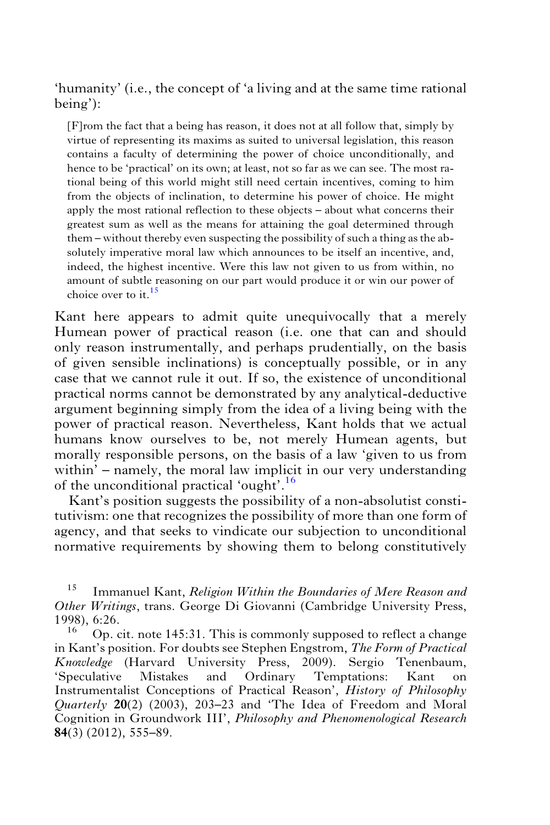'humanity' (i.e., the concept of 'a living and at the same time rational being'):

[F]rom the fact that a being has reason, it does not at all follow that, simply by virtue of representing its maxims as suited to universal legislation, this reason contains a faculty of determining the power of choice unconditionally, and hence to be 'practical' on its own; at least, not so far as we can see. The most rational being of this world might still need certain incentives, coming to him from the objects of inclination, to determine his power of choice. He might apply the most rational reflection to these objects – about what concerns their greatest sum as well as the means for attaining the goal determined through them – without thereby even suspecting the possibility of such a thing as the absolutely imperative moral law which announces to be itself an incentive, and, indeed, the highest incentive. Were this law not given to us from within, no amount of subtle reasoning on our part would produce it or win our power of choice over to it.<sup>15</sup>

Kant here appears to admit quite unequivocally that a merely Humean power of practical reason (i.e. one that can and should only reason instrumentally, and perhaps prudentially, on the basis of given sensible inclinations) is conceptually possible, or in any case that we cannot rule it out. If so, the existence of unconditional practical norms cannot be demonstrated by any analytical-deductive argument beginning simply from the idea of a living being with the power of practical reason. Nevertheless, Kant holds that we actual humans know ourselves to be, not merely Humean agents, but morally responsible persons, on the basis of a law 'given to us from within' – namely, the moral law implicit in our very understanding of the unconditional practical 'ought'.<sup>16</sup>

Kant's position suggests the possibility of a non-absolutist constitutivism: one that recognizes the possibility of more than one form of agency, and that seeks to vindicate our subjection to unconditional normative requirements by showing them to belong constitutively

<sup>15</sup> Immanuel Kant, *Religion Within the Boundaries of Mere Reason and* Other Writings, trans. George Di Giovanni (Cambridge University Press, 1998), 6:26.

<sup>16</sup> Op. cit. note 145:31. This is commonly supposed to reflect a change in Kant's position. For doubts see Stephen Engstrom, The Form of Practical Knowledge (Harvard University Press, 2009). Sergio Tenenbaum, 'Speculative Mistakes and Ordinary Temptations: Kant Instrumentalist Conceptions of Practical Reason', History of Philosophy Quarterly 20(2) (2003), 203–23 and 'The Idea of Freedom and Moral Cognition in Groundwork III', Philosophy and Phenomenological Research 84(3) (2012), 555–89.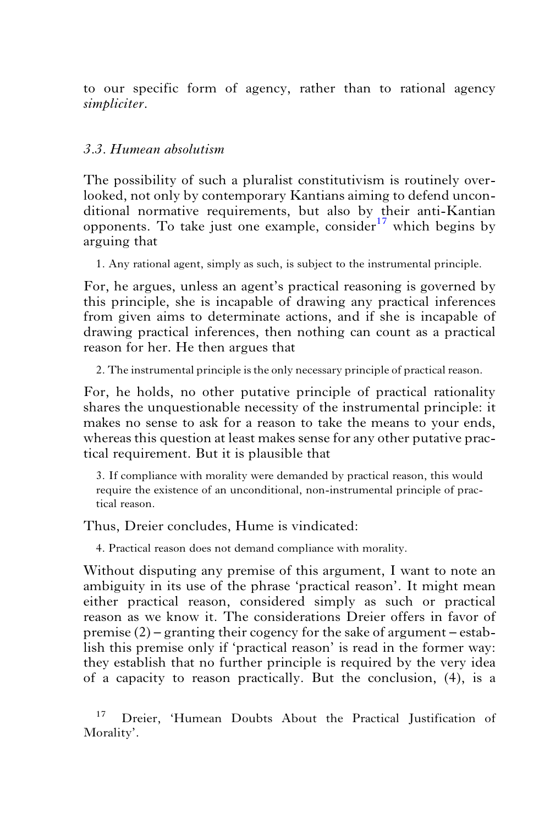to our specific form of agency, rather than to rational agency simpliciter.

#### 3.3. Humean absolutism

The possibility of such a pluralist constitutivism is routinely overlooked, not only by contemporary Kantians aiming to defend unconditional normative requirements, but also by their anti-Kantian opponents. To take just one example, consider<sup>17</sup> which begins by arguing that

1. Any rational agent, simply as such, is subject to the instrumental principle.

For, he argues, unless an agent's practical reasoning is governed by this principle, she is incapable of drawing any practical inferences from given aims to determinate actions, and if she is incapable of drawing practical inferences, then nothing can count as a practical reason for her. He then argues that

2. The instrumental principle is the only necessary principle of practical reason.

For, he holds, no other putative principle of practical rationality shares the unquestionable necessity of the instrumental principle: it makes no sense to ask for a reason to take the means to your ends, whereas this question at least makes sense for any other putative practical requirement. But it is plausible that

3. If compliance with morality were demanded by practical reason, this would require the existence of an unconditional, non-instrumental principle of practical reason.

Thus, Dreier concludes, Hume is vindicated:

4. Practical reason does not demand compliance with morality.

Without disputing any premise of this argument, I want to note an ambiguity in its use of the phrase 'practical reason'. It might mean either practical reason, considered simply as such or practical reason as we know it. The considerations Dreier offers in favor of premise  $(2)$  – granting their cogency for the sake of argument – establish this premise only if 'practical reason' is read in the former way: they establish that no further principle is required by the very idea of a capacity to reason practically. But the conclusion, (4), is a

<sup>17</sup> Dreier, 'Humean Doubts About the Practical Justification of Morality'.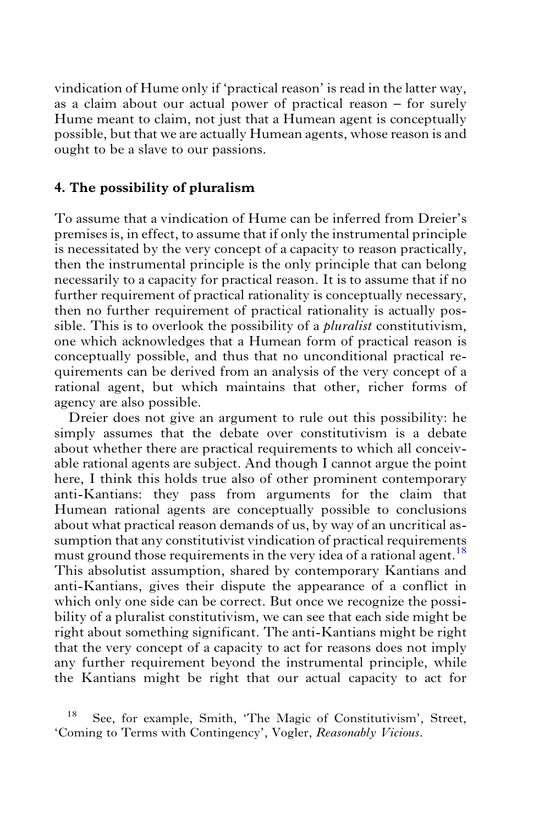vindication of Hume only if 'practical reason' is read in the latter way, as a claim about our actual power of practical reason – for surely Hume meant to claim, not just that a Humean agent is conceptually possible, but that we are actually Humean agents, whose reason is and ought to be a slave to our passions.

## 4. The possibility of pluralism

To assume that a vindication of Hume can be inferred from Dreier's premises is, in effect, to assume that if only the instrumental principle is necessitated by the very concept of a capacity to reason practically, then the instrumental principle is the only principle that can belong necessarily to a capacity for practical reason. It is to assume that if no further requirement of practical rationality is conceptually necessary, then no further requirement of practical rationality is actually possible. This is to overlook the possibility of a pluralist constitutivism, one which acknowledges that a Humean form of practical reason is conceptually possible, and thus that no unconditional practical requirements can be derived from an analysis of the very concept of a rational agent, but which maintains that other, richer forms of agency are also possible.

Dreier does not give an argument to rule out this possibility: he simply assumes that the debate over constitutivism is a debate about whether there are practical requirements to which all conceivable rational agents are subject. And though I cannot argue the point here, I think this holds true also of other prominent contemporary anti-Kantians: they pass from arguments for the claim that Humean rational agents are conceptually possible to conclusions about what practical reason demands of us, by way of an uncritical assumption that any constitutivist vindication of practical requirements must ground those requirements in the very idea of a rational agent.<sup>18</sup> This absolutist assumption, shared by contemporary Kantians and anti-Kantians, gives their dispute the appearance of a conflict in which only one side can be correct. But once we recognize the possibility of a pluralist constitutivism, we can see that each side might be right about something significant. The anti-Kantians might be right that the very concept of a capacity to act for reasons does not imply any further requirement beyond the instrumental principle, while the Kantians might be right that our actual capacity to act for

<sup>18</sup> See, for example, Smith, 'The Magic of Constitutivism', Street, 'Coming to Terms with Contingency', Vogler, Reasonably Vicious.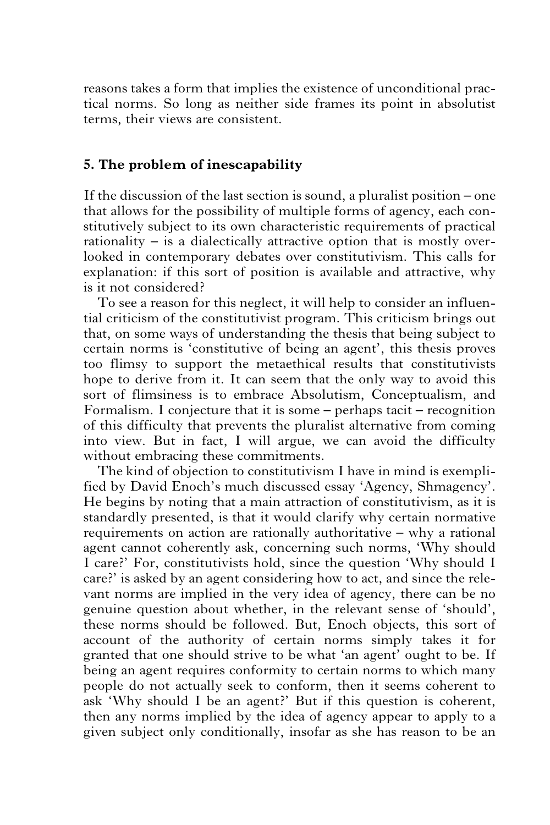reasons takes a form that implies the existence of unconditional practical norms. So long as neither side frames its point in absolutist terms, their views are consistent.

#### 5. The problem of inescapability

If the discussion of the last section is sound, a pluralist position – one that allows for the possibility of multiple forms of agency, each constitutively subject to its own characteristic requirements of practical rationality – is a dialectically attractive option that is mostly overlooked in contemporary debates over constitutivism. This calls for explanation: if this sort of position is available and attractive, why is it not considered?

To see a reason for this neglect, it will help to consider an influential criticism of the constitutivist program. This criticism brings out that, on some ways of understanding the thesis that being subject to certain norms is 'constitutive of being an agent', this thesis proves too flimsy to support the metaethical results that constitutivists hope to derive from it. It can seem that the only way to avoid this sort of flimsiness is to embrace Absolutism, Conceptualism, and Formalism. I conjecture that it is some – perhaps tacit – recognition of this difficulty that prevents the pluralist alternative from coming into view. But in fact, I will argue, we can avoid the difficulty without embracing these commitments.

The kind of objection to constitutivism I have in mind is exemplified by David Enoch's much discussed essay 'Agency, Shmagency'. He begins by noting that a main attraction of constitutivism, as it is standardly presented, is that it would clarify why certain normative requirements on action are rationally authoritative – why a rational agent cannot coherently ask, concerning such norms, 'Why should I care?' For, constitutivists hold, since the question 'Why should I care?' is asked by an agent considering how to act, and since the relevant norms are implied in the very idea of agency, there can be no genuine question about whether, in the relevant sense of 'should', these norms should be followed. But, Enoch objects, this sort of account of the authority of certain norms simply takes it for granted that one should strive to be what 'an agent' ought to be. If being an agent requires conformity to certain norms to which many people do not actually seek to conform, then it seems coherent to ask 'Why should I be an agent?' But if this question is coherent, then any norms implied by the idea of agency appear to apply to a given subject only conditionally, insofar as she has reason to be an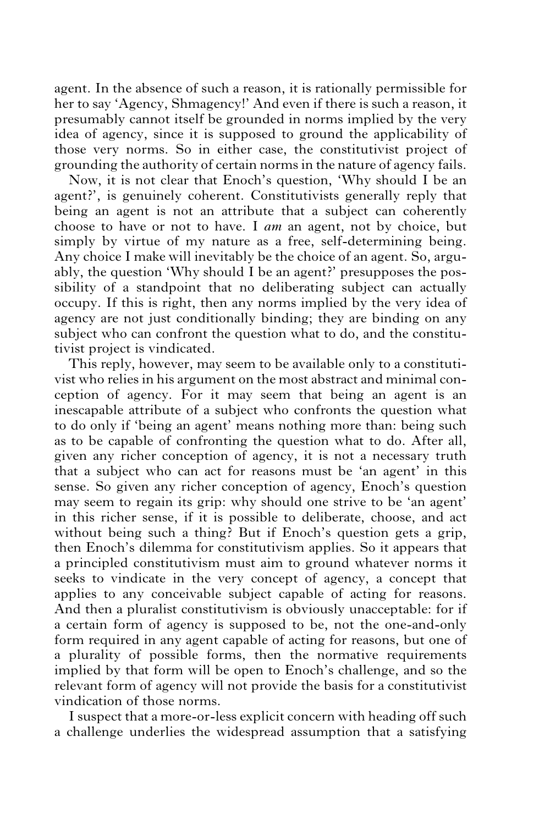agent. In the absence of such a reason, it is rationally permissible for her to say 'Agency, Shmagency!' And even if there is such a reason, it presumably cannot itself be grounded in norms implied by the very idea of agency, since it is supposed to ground the applicability of those very norms. So in either case, the constitutivist project of grounding the authority of certain norms in the nature of agency fails.

Now, it is not clear that Enoch's question, 'Why should I be an agent?', is genuinely coherent. Constitutivists generally reply that being an agent is not an attribute that a subject can coherently choose to have or not to have. I am an agent, not by choice, but simply by virtue of my nature as a free, self-determining being. Any choice I make will inevitably be the choice of an agent. So, arguably, the question 'Why should I be an agent?' presupposes the possibility of a standpoint that no deliberating subject can actually occupy. If this is right, then any norms implied by the very idea of agency are not just conditionally binding; they are binding on any subject who can confront the question what to do, and the constitutivist project is vindicated.

This reply, however, may seem to be available only to a constitutivist who relies in his argument on the most abstract and minimal conception of agency. For it may seem that being an agent is an inescapable attribute of a subject who confronts the question what to do only if 'being an agent' means nothing more than: being such as to be capable of confronting the question what to do. After all, given any richer conception of agency, it is not a necessary truth that a subject who can act for reasons must be 'an agent' in this sense. So given any richer conception of agency, Enoch's question may seem to regain its grip: why should one strive to be 'an agent' in this richer sense, if it is possible to deliberate, choose, and act without being such a thing? But if Enoch's question gets a grip, then Enoch's dilemma for constitutivism applies. So it appears that a principled constitutivism must aim to ground whatever norms it seeks to vindicate in the very concept of agency, a concept that applies to any conceivable subject capable of acting for reasons. And then a pluralist constitutivism is obviously unacceptable: for if a certain form of agency is supposed to be, not the one-and-only form required in any agent capable of acting for reasons, but one of a plurality of possible forms, then the normative requirements implied by that form will be open to Enoch's challenge, and so the relevant form of agency will not provide the basis for a constitutivist vindication of those norms.

I suspect that a more-or-less explicit concern with heading off such a challenge underlies the widespread assumption that a satisfying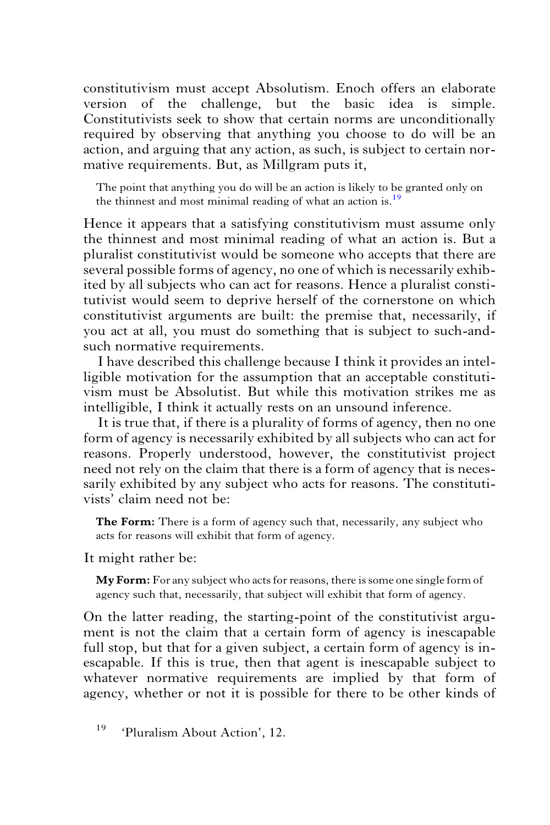constitutivism must accept Absolutism. Enoch offers an elaborate version of the challenge, but the basic idea is simple. Constitutivists seek to show that certain norms are unconditionally required by observing that anything you choose to do will be an action, and arguing that any action, as such, is subject to certain normative requirements. But, as Millgram puts it,

The point that anything you do will be an action is likely to be granted only on the thinnest and most minimal reading of what an action is. $19$ 

Hence it appears that a satisfying constitutivism must assume only the thinnest and most minimal reading of what an action is. But a pluralist constitutivist would be someone who accepts that there are several possible forms of agency, no one of which is necessarily exhibited by all subjects who can act for reasons. Hence a pluralist constitutivist would seem to deprive herself of the cornerstone on which constitutivist arguments are built: the premise that, necessarily, if you act at all, you must do something that is subject to such-andsuch normative requirements.

I have described this challenge because I think it provides an intelligible motivation for the assumption that an acceptable constitutivism must be Absolutist. But while this motivation strikes me as intelligible, I think it actually rests on an unsound inference.

It is true that, if there is a plurality of forms of agency, then no one form of agency is necessarily exhibited by all subjects who can act for reasons. Properly understood, however, the constitutivist project need not rely on the claim that there is a form of agency that is necessarily exhibited by any subject who acts for reasons. The constitutivists' claim need not be:

The Form: There is a form of agency such that, necessarily, any subject who acts for reasons will exhibit that form of agency.

It might rather be:

My Form: For any subject who acts for reasons, there is some one single form of agency such that, necessarily, that subject will exhibit that form of agency.

On the latter reading, the starting-point of the constitutivist argument is not the claim that a certain form of agency is inescapable full stop, but that for a given subject, a certain form of agency is inescapable. If this is true, then that agent is inescapable subject to whatever normative requirements are implied by that form of agency, whether or not it is possible for there to be other kinds of

<sup>19</sup> 'Pluralism About Action', 12.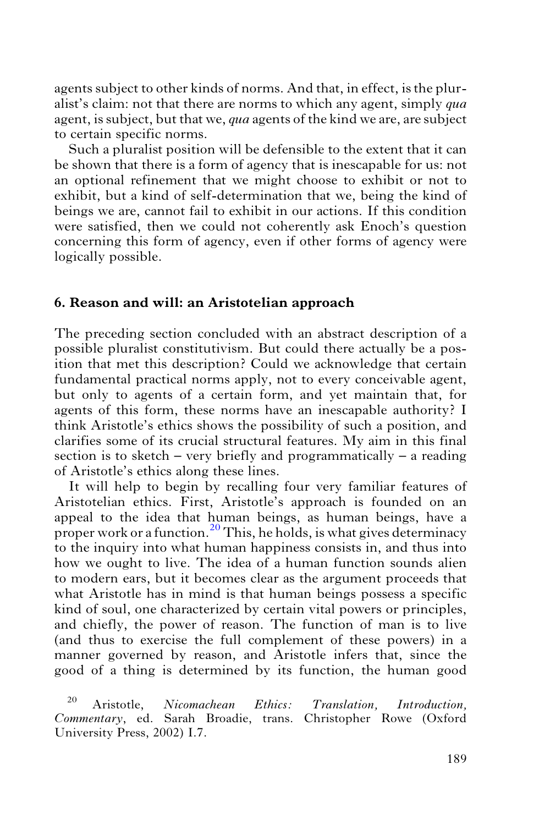agents subject to other kinds of norms. And that, in effect, is the pluralist's claim: not that there are norms to which any agent, simply qua agent, is subject, but that we, *qua* agents of the kind we are, are subject to certain specific norms.

Such a pluralist position will be defensible to the extent that it can be shown that there is a form of agency that is inescapable for us: not an optional refinement that we might choose to exhibit or not to exhibit, but a kind of self-determination that we, being the kind of beings we are, cannot fail to exhibit in our actions. If this condition were satisfied, then we could not coherently ask Enoch's question concerning this form of agency, even if other forms of agency were logically possible.

#### 6. Reason and will: an Aristotelian approach

The preceding section concluded with an abstract description of a possible pluralist constitutivism. But could there actually be a position that met this description? Could we acknowledge that certain fundamental practical norms apply, not to every conceivable agent, but only to agents of a certain form, and yet maintain that, for agents of this form, these norms have an inescapable authority? I think Aristotle's ethics shows the possibility of such a position, and clarifies some of its crucial structural features. My aim in this final section is to sketch – very briefly and programmatically – a reading of Aristotle's ethics along these lines.

It will help to begin by recalling four very familiar features of Aristotelian ethics. First, Aristotle's approach is founded on an appeal to the idea that human beings, as human beings, have a proper work or a function.<sup>20</sup> This, he holds, is what gives determinacy to the inquiry into what human happiness consists in, and thus into how we ought to live. The idea of a human function sounds alien to modern ears, but it becomes clear as the argument proceeds that what Aristotle has in mind is that human beings possess a specific kind of soul, one characterized by certain vital powers or principles, and chiefly, the power of reason. The function of man is to live (and thus to exercise the full complement of these powers) in a manner governed by reason, and Aristotle infers that, since the good of a thing is determined by its function, the human good

<sup>20</sup> Aristotle, *Nicomachean Ethics: Translation, Introduction*, Commentary, ed. Sarah Broadie, trans. Christopher Rowe (Oxford University Press, 2002) I.7.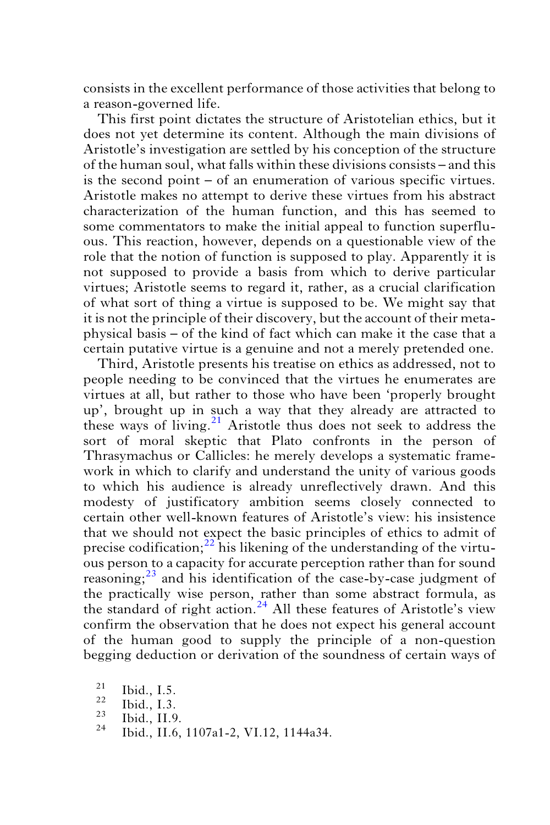consists in the excellent performance of those activities that belong to a reason-governed life.

This first point dictates the structure of Aristotelian ethics, but it does not yet determine its content. Although the main divisions of Aristotle's investigation are settled by his conception of the structure of the human soul, what falls within these divisions consists – and this is the second point – of an enumeration of various specific virtues. Aristotle makes no attempt to derive these virtues from his abstract characterization of the human function, and this has seemed to some commentators to make the initial appeal to function superfluous. This reaction, however, depends on a questionable view of the role that the notion of function is supposed to play. Apparently it is not supposed to provide a basis from which to derive particular virtues; Aristotle seems to regard it, rather, as a crucial clarification of what sort of thing a virtue is supposed to be. We might say that it is not the principle of their discovery, but the account of their metaphysical basis – of the kind of fact which can make it the case that a certain putative virtue is a genuine and not a merely pretended one.

Third, Aristotle presents his treatise on ethics as addressed, not to people needing to be convinced that the virtues he enumerates are virtues at all, but rather to those who have been 'properly brought up', brought up in such a way that they already are attracted to these ways of living.<sup>21</sup> Aristotle thus does not seek to address the sort of moral skeptic that Plato confronts in the person of Thrasymachus or Callicles: he merely develops a systematic framework in which to clarify and understand the unity of various goods to which his audience is already unreflectively drawn. And this modesty of justificatory ambition seems closely connected to certain other well-known features of Aristotle's view: his insistence that we should not expect the basic principles of ethics to admit of precise codification;<sup>22</sup> his likening of the understanding of the virtuous person to a capacity for accurate perception rather than for sound reasoning;<sup>23</sup> and his identification of the case-by-case judgment of the practically wise person, rather than some abstract formula, as the standard of right action.<sup>24</sup> All these features of Aristotle's view confirm the observation that he does not expect his general account of the human good to supply the principle of a non-question begging deduction or derivation of the soundness of certain ways of

- <sup>21</sup> Ibid., I.5.<br><sup>22</sup> Ibid., I.3.<br><sup>23</sup> I<sub>1:1</sub> II.6</sub>
- 
- $\frac{23}{24}$  Ibid., II.9.<br>
24 Ibid., II.6, 1107a1-2, VI.12, 1144a34.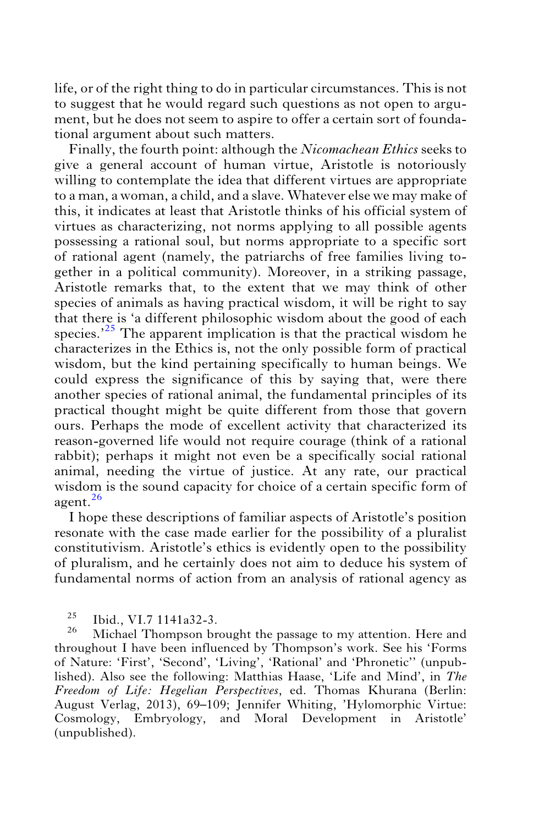life, or of the right thing to do in particular circumstances. This is not to suggest that he would regard such questions as not open to argument, but he does not seem to aspire to offer a certain sort of foundational argument about such matters.

Finally, the fourth point: although the Nicomachean Ethics seeks to give a general account of human virtue, Aristotle is notoriously willing to contemplate the idea that different virtues are appropriate to a man, a woman, a child, and a slave. Whatever else we may make of this, it indicates at least that Aristotle thinks of his official system of virtues as characterizing, not norms applying to all possible agents possessing a rational soul, but norms appropriate to a specific sort of rational agent (namely, the patriarchs of free families living together in a political community). Moreover, in a striking passage, Aristotle remarks that, to the extent that we may think of other species of animals as having practical wisdom, it will be right to say that there is 'a different philosophic wisdom about the good of each species.<sup>25</sup> The apparent implication is that the practical wisdom he characterizes in the Ethics is, not the only possible form of practical wisdom, but the kind pertaining specifically to human beings. We could express the significance of this by saying that, were there another species of rational animal, the fundamental principles of its practical thought might be quite different from those that govern ours. Perhaps the mode of excellent activity that characterized its reason-governed life would not require courage (think of a rational rabbit); perhaps it might not even be a specifically social rational animal, needing the virtue of justice. At any rate, our practical wisdom is the sound capacity for choice of a certain specific form of agent.<sup>26</sup>

I hope these descriptions of familiar aspects of Aristotle's position resonate with the case made earlier for the possibility of a pluralist constitutivism. Aristotle's ethics is evidently open to the possibility of pluralism, and he certainly does not aim to deduce his system of fundamental norms of action from an analysis of rational agency as

# $\frac{25}{26}$  Ibid., VI.7 1141a32-3.

Michael Thompson brought the passage to my attention. Here and throughout I have been influenced by Thompson's work. See his 'Forms of Nature: 'First', 'Second', 'Living', 'Rational' and 'Phronetic'' (unpublished). Also see the following: Matthias Haase, 'Life and Mind', in The Freedom of Life: Hegelian Perspectives, ed. Thomas Khurana (Berlin: August Verlag, 2013), 69–109; Jennifer Whiting, 'Hylomorphic Virtue: Cosmology, Embryology, and Moral Development in Aristotle' (unpublished).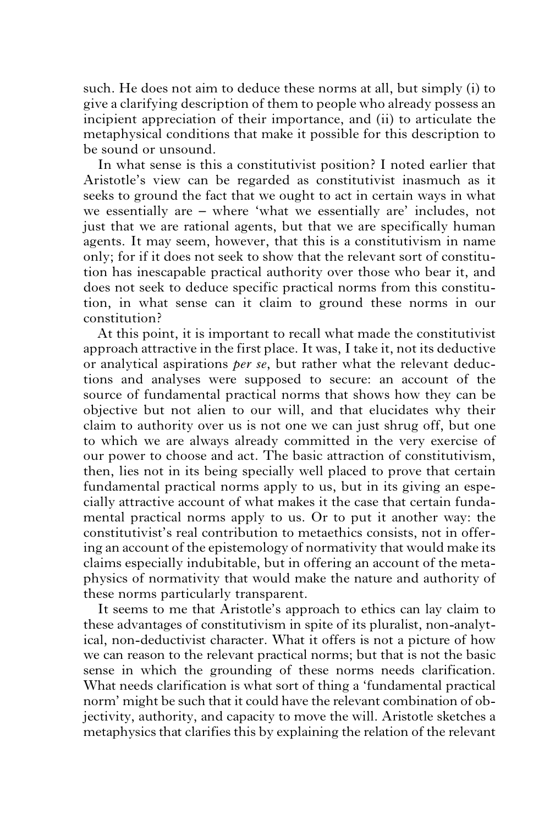such. He does not aim to deduce these norms at all, but simply (i) to give a clarifying description of them to people who already possess an incipient appreciation of their importance, and (ii) to articulate the metaphysical conditions that make it possible for this description to be sound or unsound.

In what sense is this a constitutivist position? I noted earlier that Aristotle's view can be regarded as constitutivist inasmuch as it seeks to ground the fact that we ought to act in certain ways in what we essentially are – where 'what we essentially are' includes, not just that we are rational agents, but that we are specifically human agents. It may seem, however, that this is a constitutivism in name only; for if it does not seek to show that the relevant sort of constitution has inescapable practical authority over those who bear it, and does not seek to deduce specific practical norms from this constitution, in what sense can it claim to ground these norms in our constitution?

At this point, it is important to recall what made the constitutivist approach attractive in the first place. It was, I take it, not its deductive or analytical aspirations *per se*, but rather what the relevant deductions and analyses were supposed to secure: an account of the source of fundamental practical norms that shows how they can be objective but not alien to our will, and that elucidates why their claim to authority over us is not one we can just shrug off, but one to which we are always already committed in the very exercise of our power to choose and act. The basic attraction of constitutivism, then, lies not in its being specially well placed to prove that certain fundamental practical norms apply to us, but in its giving an especially attractive account of what makes it the case that certain fundamental practical norms apply to us. Or to put it another way: the constitutivist's real contribution to metaethics consists, not in offering an account of the epistemology of normativity that would make its claims especially indubitable, but in offering an account of the metaphysics of normativity that would make the nature and authority of these norms particularly transparent.

It seems to me that Aristotle's approach to ethics can lay claim to these advantages of constitutivism in spite of its pluralist, non-analytical, non-deductivist character. What it offers is not a picture of how we can reason to the relevant practical norms; but that is not the basic sense in which the grounding of these norms needs clarification. What needs clarification is what sort of thing a 'fundamental practical norm' might be such that it could have the relevant combination of objectivity, authority, and capacity to move the will. Aristotle sketches a metaphysics that clarifies this by explaining the relation of the relevant